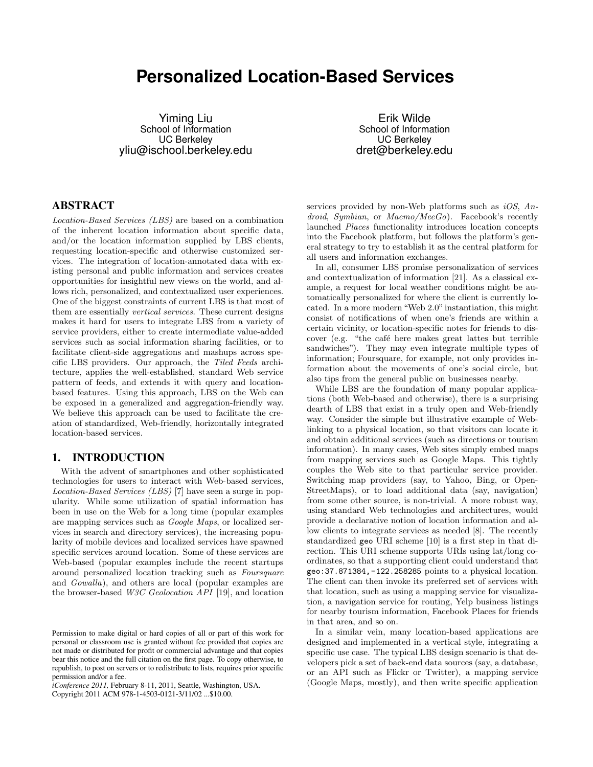# **Personalized Location-Based Services**

Yiming Liu School of Information UC Berkeley yliu@ischool.berkeley.edu

Erik Wilde School of Information UC Berkeley dret@berkeley.edu

# ABSTRACT

Location-Based Services (LBS) are based on a combination of the inherent location information about specific data, and/or the location information supplied by LBS clients, requesting location-specific and otherwise customized services. The integration of location-annotated data with existing personal and public information and services creates opportunities for insightful new views on the world, and allows rich, personalized, and contextualized user experiences. One of the biggest constraints of current LBS is that most of them are essentially vertical services. These current designs makes it hard for users to integrate LBS from a variety of service providers, either to create intermediate value-added services such as social information sharing facilities, or to facilitate client-side aggregations and mashups across specific LBS providers. Our approach, the Tiled Feeds architecture, applies the well-established, standard Web service pattern of feeds, and extends it with query and locationbased features. Using this approach, LBS on the Web can be exposed in a generalized and aggregation-friendly way. We believe this approach can be used to facilitate the creation of standardized, Web-friendly, horizontally integrated location-based services.

## 1. INTRODUCTION

With the advent of smartphones and other sophisticated technologies for users to interact with Web-based services, Location-Based Services (LBS) [7] have seen a surge in popularity. While some utilization of spatial information has been in use on the Web for a long time (popular examples are mapping services such as Google Maps, or localized services in search and directory services), the increasing popularity of mobile devices and localized services have spawned specific services around location. Some of these services are Web-based (popular examples include the recent startups around personalized location tracking such as Foursquare and Gowalla), and others are local (popular examples are the browser-based W3C Geolocation API [19], and location

*iConference 2011,* February 8-11, 2011, Seattle, Washington, USA. Copyright 2011 ACM 978-1-4503-0121-3/11/02 ...\$10.00.

services provided by non-Web platforms such as  $iOS$ , Android, Symbian, or Maemo/MeeGo). Facebook's recently launched Places functionality introduces location concepts into the Facebook platform, but follows the platform's general strategy to try to establish it as the central platform for all users and information exchanges.

In all, consumer LBS promise personalization of services and contextualization of information [21]. As a classical example, a request for local weather conditions might be automatically personalized for where the client is currently located. In a more modern "Web 2.0" instantiation, this might consist of notifications of when one's friends are within a certain vicinity, or location-specific notes for friends to discover (e.g. "the café here makes great lattes but terrible sandwiches"). They may even integrate multiple types of information; Foursquare, for example, not only provides information about the movements of one's social circle, but also tips from the general public on businesses nearby.

While LBS are the foundation of many popular applications (both Web-based and otherwise), there is a surprising dearth of LBS that exist in a truly open and Web-friendly way. Consider the simple but illustrative example of Weblinking to a physical location, so that visitors can locate it and obtain additional services (such as directions or tourism information). In many cases, Web sites simply embed maps from mapping services such as Google Maps. This tightly couples the Web site to that particular service provider. Switching map providers (say, to Yahoo, Bing, or Open-StreetMaps), or to load additional data (say, navigation) from some other source, is non-trivial. A more robust way, using standard Web technologies and architectures, would provide a declarative notion of location information and allow clients to integrate services as needed [8]. The recently standardized geo URI scheme [10] is a first step in that direction. This URI scheme supports URIs using lat/long coordinates, so that a supporting client could understand that geo:37.871384,-122.258285 points to a physical location. The client can then invoke its preferred set of services with that location, such as using a mapping service for visualization, a navigation service for routing, Yelp business listings for nearby tourism information, Facebook Places for friends in that area, and so on.

In a similar vein, many location-based applications are designed and implemented in a vertical style, integrating a specific use case. The typical LBS design scenario is that developers pick a set of back-end data sources (say, a database, or an API such as Flickr or Twitter), a mapping service (Google Maps, mostly), and then write specific application

Permission to make digital or hard copies of all or part of this work for personal or classroom use is granted without fee provided that copies are not made or distributed for profit or commercial advantage and that copies bear this notice and the full citation on the first page. To copy otherwise, to republish, to post on servers or to redistribute to lists, requires prior specific permission and/or a fee.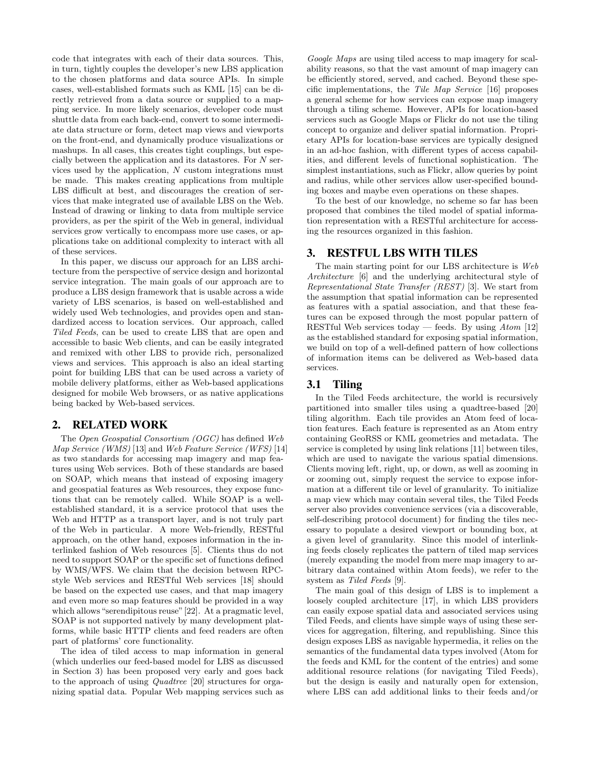code that integrates with each of their data sources. This, in turn, tightly couples the developer's new LBS application to the chosen platforms and data source APIs. In simple cases, well-established formats such as KML [15] can be directly retrieved from a data source or supplied to a mapping service. In more likely scenarios, developer code must shuttle data from each back-end, convert to some intermediate data structure or form, detect map views and viewports on the front-end, and dynamically produce visualizations or mashups. In all cases, this creates tight couplings, but especially between the application and its datastores. For N services used by the application, N custom integrations must be made. This makes creating applications from multiple LBS difficult at best, and discourages the creation of services that make integrated use of available LBS on the Web. Instead of drawing or linking to data from multiple service providers, as per the spirit of the Web in general, individual services grow vertically to encompass more use cases, or applications take on additional complexity to interact with all of these services.

In this paper, we discuss our approach for an LBS architecture from the perspective of service design and horizontal service integration. The main goals of our approach are to produce a LBS design framework that is usable across a wide variety of LBS scenarios, is based on well-established and widely used Web technologies, and provides open and standardized access to location services. Our approach, called Tiled Feeds, can be used to create LBS that are open and accessible to basic Web clients, and can be easily integrated and remixed with other LBS to provide rich, personalized views and services. This approach is also an ideal starting point for building LBS that can be used across a variety of mobile delivery platforms, either as Web-based applications designed for mobile Web browsers, or as native applications being backed by Web-based services.

#### 2. RELATED WORK

The Open Geospatial Consortium (OGC) has defined Web Map Service (WMS) [13] and Web Feature Service (WFS) [14] as two standards for accessing map imagery and map features using Web services. Both of these standards are based on SOAP, which means that instead of exposing imagery and geospatial features as Web resources, they expose functions that can be remotely called. While SOAP is a wellestablished standard, it is a service protocol that uses the Web and HTTP as a transport layer, and is not truly part of the Web in particular. A more Web-friendly, RESTful approach, on the other hand, exposes information in the interlinked fashion of Web resources [5]. Clients thus do not need to support SOAP or the specific set of functions defined by WMS/WFS. We claim that the decision between RPCstyle Web services and RESTful Web services [18] should be based on the expected use cases, and that map imagery and even more so map features should be provided in a way which allows "serendipitous reuse" [22]. At a pragmatic level, SOAP is not supported natively by many development platforms, while basic HTTP clients and feed readers are often part of platforms' core functionality.

The idea of tiled access to map information in general (which underlies our feed-based model for LBS as discussed in Section 3) has been proposed very early and goes back to the approach of using Quadtree [20] structures for organizing spatial data. Popular Web mapping services such as

Google Maps are using tiled access to map imagery for scalability reasons, so that the vast amount of map imagery can be efficiently stored, served, and cached. Beyond these specific implementations, the Tile Map Service [16] proposes a general scheme for how services can expose map imagery through a tiling scheme. However, APIs for location-based services such as Google Maps or Flickr do not use the tiling concept to organize and deliver spatial information. Proprietary APIs for location-base services are typically designed in an ad-hoc fashion, with different types of access capabilities, and different levels of functional sophistication. The simplest instantiations, such as Flickr, allow queries by point and radius, while other services allow user-specified bounding boxes and maybe even operations on these shapes.

To the best of our knowledge, no scheme so far has been proposed that combines the tiled model of spatial information representation with a RESTful architecture for accessing the resources organized in this fashion.

## 3. RESTFUL LBS WITH TILES

The main starting point for our LBS architecture is Web Architecture [6] and the underlying architectural style of Representational State Transfer (REST) [3]. We start from the assumption that spatial information can be represented as features with a spatial association, and that these features can be exposed through the most popular pattern of RESTful Web services today — feeds. By using  $Atom$  [12] as the established standard for exposing spatial information, we build on top of a well-defined pattern of how collections of information items can be delivered as Web-based data services.

#### 3.1 Tiling

In the Tiled Feeds architecture, the world is recursively partitioned into smaller tiles using a quadtree-based [20] tiling algorithm. Each tile provides an Atom feed of location features. Each feature is represented as an Atom entry containing GeoRSS or KML geometries and metadata. The service is completed by using link relations [11] between tiles, which are used to navigate the various spatial dimensions. Clients moving left, right, up, or down, as well as zooming in or zooming out, simply request the service to expose information at a different tile or level of granularity. To initialize a map view which may contain several tiles, the Tiled Feeds server also provides convenience services (via a discoverable, self-describing protocol document) for finding the tiles necessary to populate a desired viewport or bounding box, at a given level of granularity. Since this model of interlinking feeds closely replicates the pattern of tiled map services (merely expanding the model from mere map imagery to arbitrary data contained within Atom feeds), we refer to the system as Tiled Feeds [9].

The main goal of this design of LBS is to implement a loosely coupled architecture [17], in which LBS providers can easily expose spatial data and associated services using Tiled Feeds, and clients have simple ways of using these services for aggregation, filtering, and republishing. Since this design exposes LBS as navigable hypermedia, it relies on the semantics of the fundamental data types involved (Atom for the feeds and KML for the content of the entries) and some additional resource relations (for navigating Tiled Feeds), but the design is easily and naturally open for extension, where LBS can add additional links to their feeds and/or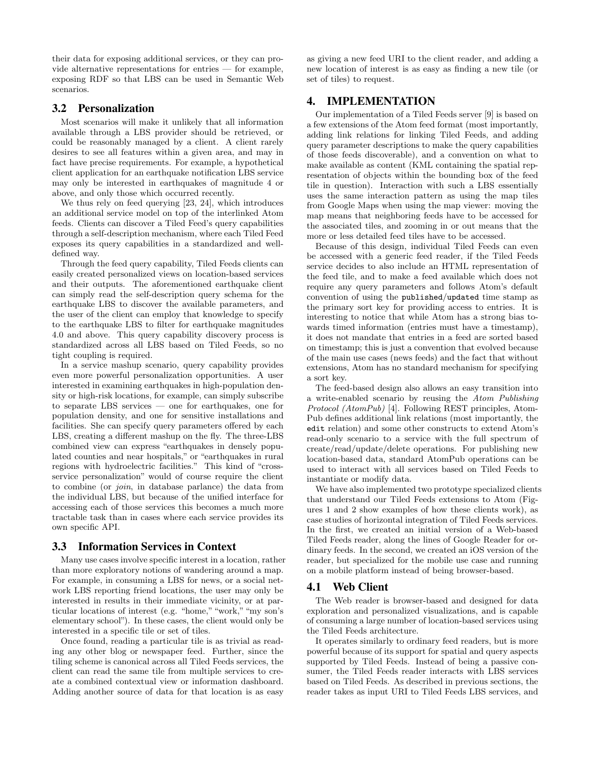their data for exposing additional services, or they can provide alternative representations for entries — for example, exposing RDF so that LBS can be used in Semantic Web scenarios.

### 3.2 Personalization

Most scenarios will make it unlikely that all information available through a LBS provider should be retrieved, or could be reasonably managed by a client. A client rarely desires to see all features within a given area, and may in fact have precise requirements. For example, a hypothetical client application for an earthquake notification LBS service may only be interested in earthquakes of magnitude 4 or above, and only those which occurred recently.

We thus rely on feed querying [23, 24], which introduces an additional service model on top of the interlinked Atom feeds. Clients can discover a Tiled Feed's query capabilities through a self-description mechanism, where each Tiled Feed exposes its query capabilities in a standardized and welldefined way.

Through the feed query capability, Tiled Feeds clients can easily created personalized views on location-based services and their outputs. The aforementioned earthquake client can simply read the self-description query schema for the earthquake LBS to discover the available parameters, and the user of the client can employ that knowledge to specify to the earthquake LBS to filter for earthquake magnitudes 4.0 and above. This query capability discovery process is standardized across all LBS based on Tiled Feeds, so no tight coupling is required.

In a service mashup scenario, query capability provides even more powerful personalization opportunities. A user interested in examining earthquakes in high-population density or high-risk locations, for example, can simply subscribe to separate LBS services — one for earthquakes, one for population density, and one for sensitive installations and facilities. She can specify query parameters offered by each LBS, creating a different mashup on the fly. The three-LBS combined view can express "earthquakes in densely populated counties and near hospitals," or "earthquakes in rural regions with hydroelectric facilities." This kind of "crossservice personalization" would of course require the client to combine (or join, in database parlance) the data from the individual LBS, but because of the unified interface for accessing each of those services this becomes a much more tractable task than in cases where each service provides its own specific API.

#### 3.3 Information Services in Context

Many use cases involve specific interest in a location, rather than more exploratory notions of wandering around a map. For example, in consuming a LBS for news, or a social network LBS reporting friend locations, the user may only be interested in results in their immediate vicinity, or at particular locations of interest (e.g. "home," "work," "my son's elementary school"). In these cases, the client would only be interested in a specific tile or set of tiles.

Once found, reading a particular tile is as trivial as reading any other blog or newspaper feed. Further, since the tiling scheme is canonical across all Tiled Feeds services, the client can read the same tile from multiple services to create a combined contextual view or information dashboard. Adding another source of data for that location is as easy as giving a new feed URI to the client reader, and adding a new location of interest is as easy as finding a new tile (or set of tiles) to request.

# 4. IMPLEMENTATION

Our implementation of a Tiled Feeds server [9] is based on a few extensions of the Atom feed format (most importantly, adding link relations for linking Tiled Feeds, and adding query parameter descriptions to make the query capabilities of those feeds discoverable), and a convention on what to make available as content (KML containing the spatial representation of objects within the bounding box of the feed tile in question). Interaction with such a LBS essentially uses the same interaction pattern as using the map tiles from Google Maps when using the map viewer: moving the map means that neighboring feeds have to be accessed for the associated tiles, and zooming in or out means that the more or less detailed feed tiles have to be accessed.

Because of this design, individual Tiled Feeds can even be accessed with a generic feed reader, if the Tiled Feeds service decides to also include an HTML representation of the feed tile, and to make a feed available which does not require any query parameters and follows Atom's default convention of using the published/updated time stamp as the primary sort key for providing access to entries. It is interesting to notice that while Atom has a strong bias towards timed information (entries must have a timestamp), it does not mandate that entries in a feed are sorted based on timestamp; this is just a convention that evolved because of the main use cases (news feeds) and the fact that without extensions, Atom has no standard mechanism for specifying a sort key.

The feed-based design also allows an easy transition into a write-enabled scenario by reusing the Atom Publishing Protocol (AtomPub) [4]. Following REST principles, Atom-Pub defines additional link relations (most importantly, the edit relation) and some other constructs to extend Atom's read-only scenario to a service with the full spectrum of create/read/update/delete operations. For publishing new location-based data, standard AtomPub operations can be used to interact with all services based on Tiled Feeds to instantiate or modify data.

We have also implemented two prototype specialized clients that understand our Tiled Feeds extensions to Atom (Figures 1 and 2 show examples of how these clients work), as case studies of horizontal integration of Tiled Feeds services. In the first, we created an initial version of a Web-based Tiled Feeds reader, along the lines of Google Reader for ordinary feeds. In the second, we created an iOS version of the reader, but specialized for the mobile use case and running on a mobile platform instead of being browser-based.

#### 4.1 Web Client

The Web reader is browser-based and designed for data exploration and personalized visualizations, and is capable of consuming a large number of location-based services using the Tiled Feeds architecture.

It operates similarly to ordinary feed readers, but is more powerful because of its support for spatial and query aspects supported by Tiled Feeds. Instead of being a passive consumer, the Tiled Feeds reader interacts with LBS services based on Tiled Feeds. As described in previous sections, the reader takes as input URI to Tiled Feeds LBS services, and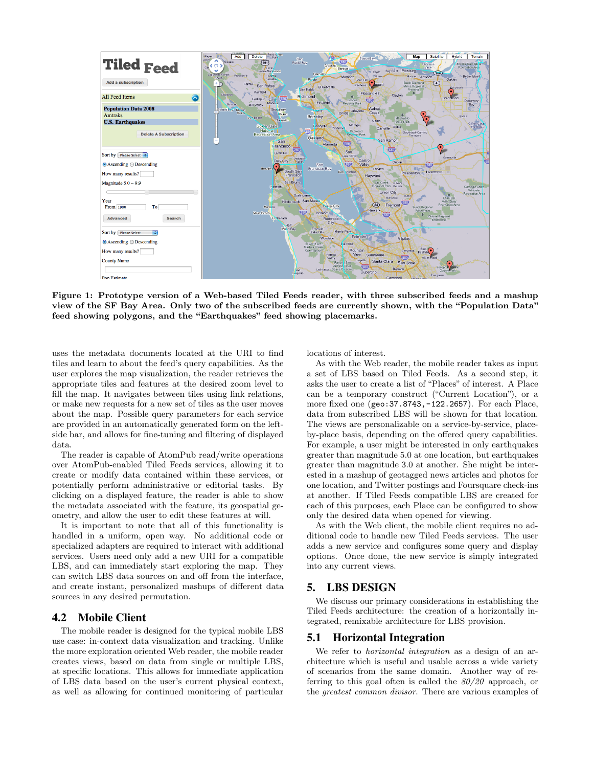

**Figure 1: Prototype version of a Web-based Tiled Feeds reader, with three subscribed feeds and a mashup view of the SF Bay Area. Only two of the subscribed feeds are currently shown, with the "Population Data" feed showing polygons, and the "Earthquakes" feed showing placemarks.**

uses the metadata documents located at the URI to find tiles and learn to about the feed's query capabilities. As the user explores the map visualization, the reader retrieves the appropriate tiles and features at the desired zoom level to fill the map. It navigates between tiles using link relations, or make new requests for a new set of tiles as the user moves about the map. Possible query parameters for each service are provided in an automatically generated form on the leftside bar, and allows for fine-tuning and filtering of displayed data.

The reader is capable of AtomPub read/write operations over AtomPub-enabled Tiled Feeds services, allowing it to create or modify data contained within these services, or potentially perform administrative or editorial tasks. By clicking on a displayed feature, the reader is able to show the metadata associated with the feature, its geospatial geometry, and allow the user to edit these features at will.

It is important to note that all of this functionality is handled in a uniform, open way. No additional code or specialized adapters are required to interact with additional services. Users need only add a new URI for a compatible LBS, and can immediately start exploring the map. They can switch LBS data sources on and off from the interface, and create instant, personalized mashups of different data sources in any desired permutation.

## 4.2 Mobile Client

The mobile reader is designed for the typical mobile LBS use case: in-context data visualization and tracking. Unlike the more exploration oriented Web reader, the mobile reader creates views, based on data from single or multiple LBS, at specific locations. This allows for immediate application of LBS data based on the user's current physical context, as well as allowing for continued monitoring of particular locations of interest.

As with the Web reader, the mobile reader takes as input a set of LBS based on Tiled Feeds. As a second step, it asks the user to create a list of "Places" of interest. A Place can be a temporary construct ("Current Location"), or a more fixed one (geo:37.8743,-122.2657). For each Place, data from subscribed LBS will be shown for that location. The views are personalizable on a service-by-service, placeby-place basis, depending on the offered query capabilities. For example, a user might be interested in only earthquakes greater than magnitude 5.0 at one location, but earthquakes greater than magnitude 3.0 at another. She might be interested in a mashup of geotagged news articles and photos for one location, and Twitter postings and Foursquare check-ins at another. If Tiled Feeds compatible LBS are created for each of this purposes, each Place can be configured to show only the desired data when opened for viewing.

As with the Web client, the mobile client requires no additional code to handle new Tiled Feeds services. The user adds a new service and configures some query and display options. Once done, the new service is simply integrated into any current views.

#### 5. LBS DESIGN

We discuss our primary considerations in establishing the Tiled Feeds architecture: the creation of a horizontally integrated, remixable architecture for LBS provision.

#### 5.1 Horizontal Integration

We refer to *horizontal integration* as a design of an architecture which is useful and usable across a wide variety of scenarios from the same domain. Another way of referring to this goal often is called the  $80/20$  approach, or the greatest common divisor. There are various examples of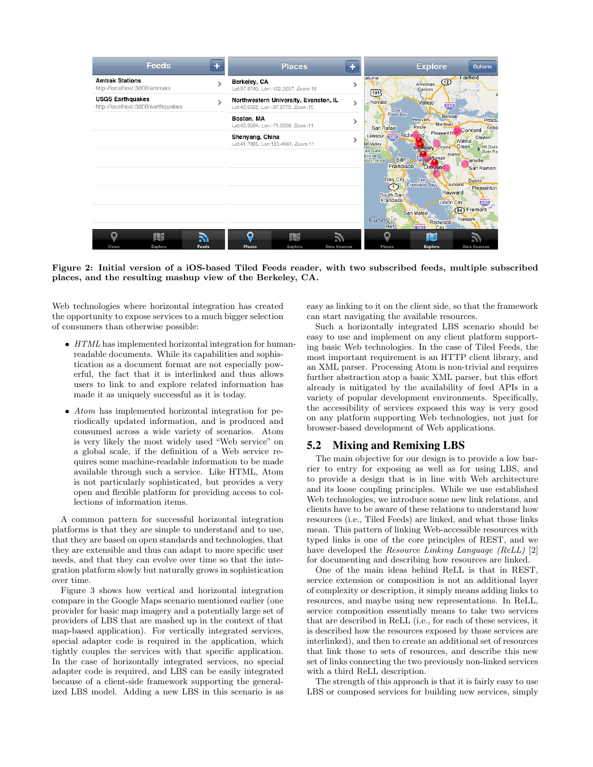

**Figure 2: Initial version of a iOS-based Tiled Feeds reader, with two subscribed feeds, multiple subscribed places, and the resulting mashup view of the Berkeley, CA.**

Web technologies where horizontal integration has created the opportunity to expose services to a much bigger selection of consumers than otherwise possible:

- HTML has implemented horizontal integration for humanreadable documents. While its capabilities and sophistication as a document format are not especially powerful, the fact that it is interlinked and thus allows users to link to and explore related information has made it as uniquely successful as it is today.
- Atom has implemented horizontal integration for periodically updated information, and is produced and consumed across a wide variety of scenarios. Atom is very likely the most widely used "Web service" on a global scale, if the definition of a Web service requires some machine-readable information to be made available through such a service. Like HTML, Atom is not particularly sophisticated, but provides a very open and flexible platform for providing access to collections of information items.

A common pattern for successful horizontal integration platforms is that they are simple to understand and to use, that they are based on open standards and technologies, that they are extensible and thus can adapt to more specific user needs, and that they can evolve over time so that the integration platform slowly but naturally grows in sophistication over time.

Figure 3 shows how vertical and horizontal integration compare in the Google Maps scenario mentioned earlier (one provider for basic map imagery and a potentially large set of providers of LBS that are mashed up in the context of that map-based application). For vertically integrated services, special adapter code is required in the application, which tightly couples the services with that specific application. In the case of horizontally integrated services, no special adapter code is required, and LBS can be easily integrated because of a client-side framework supporting the generalized LBS model. Adding a new LBS in this scenario is as easy as linking to it on the client side, so that the framework can start navigating the available resources.

Such a horizontally integrated LBS scenario should be easy to use and implement on any client platform supporting basic Web technologies. In the case of Tiled Feeds, the most important requirement is an HTTP client library, and an XML parser. Processing Atom is non-trivial and requires further abstraction atop a basic XML parser, but this effort already is mitigated by the availability of feed APIs in a variety of popular development environments. Specifically, the accessibility of services exposed this way is very good on any platform supporting Web technologies, not just for browser-based development of Web applications.

## 5.2 Mixing and Remixing LBS

The main objective for our design is to provide a low barrier to entry for exposing as well as for using LBS, and to provide a design that is in line with Web architecture and its loose coupling principles. While we use established Web technologies, we introduce some new link relations, and clients have to be aware of these relations to understand how resources (i.e., Tiled Feeds) are linked, and what those links mean. This pattern of linking Web-accessible resources with typed links is one of the core principles of REST, and we have developed the Resource Linking Language (ReLL) [2] for documenting and describing how resources are linked.

One of the main ideas behind ReLL is that in REST, service extension or composition is not an additional layer of complexity or description, it simply means adding links to resources, and maybe using new representations. In ReLL, service composition essentially means to take two services that are described in ReLL (i.e., for each of these services, it is described how the resources exposed by those services are interlinked), and then to create an additional set of resources that link those to sets of resources, and describe this new set of links connecting the two previously non-linked services with a third ReLL description.

The strength of this approach is that it is fairly easy to use LBS or composed services for building new services, simply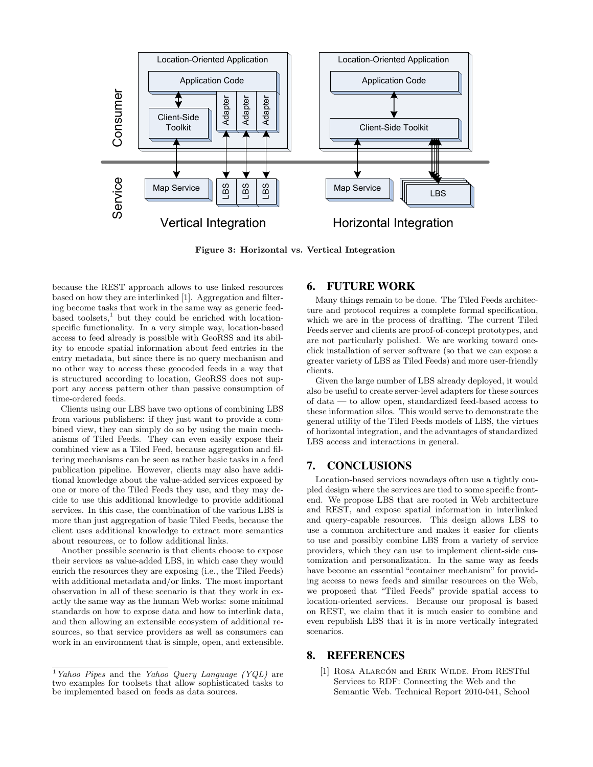

**Figure 3: Horizontal vs. Vertical Integration**

because the REST approach allows to use linked resources based on how they are interlinked [1]. Aggregation and filtering become tasks that work in the same way as generic feedbased toolsets, $\frac{1}{2}$  but they could be enriched with locationspecific functionality. In a very simple way, location-based access to feed already is possible with GeoRSS and its ability to encode spatial information about feed entries in the entry metadata, but since there is no query mechanism and no other way to access these geocoded feeds in a way that is structured according to location, GeoRSS does not support any access pattern other than passive consumption of time-ordered feeds.

Clients using our LBS have two options of combining LBS from various publishers: if they just want to provide a combined view, they can simply do so by using the main mechanisms of Tiled Feeds. They can even easily expose their combined view as a Tiled Feed, because aggregation and filtering mechanisms can be seen as rather basic tasks in a feed publication pipeline. However, clients may also have additional knowledge about the value-added services exposed by one or more of the Tiled Feeds they use, and they may decide to use this additional knowledge to provide additional services. In this case, the combination of the various LBS is more than just aggregation of basic Tiled Feeds, because the client uses additional knowledge to extract more semantics about resources, or to follow additional links.

Another possible scenario is that clients choose to expose their services as value-added LBS, in which case they would enrich the resources they are exposing (i.e., the Tiled Feeds) with additional metadata and/or links. The most important observation in all of these scenario is that they work in exactly the same way as the human Web works: some minimal standards on how to expose data and how to interlink data, and then allowing an extensible ecosystem of additional resources, so that service providers as well as consumers can work in an environment that is simple, open, and extensible.

## 6. FUTURE WORK

Many things remain to be done. The Tiled Feeds architecture and protocol requires a complete formal specification, which we are in the process of drafting. The current Tiled Feeds server and clients are proof-of-concept prototypes, and are not particularly polished. We are working toward oneclick installation of server software (so that we can expose a greater variety of LBS as Tiled Feeds) and more user-friendly clients.

Given the large number of LBS already deployed, it would also be useful to create server-level adapters for these sources of data — to allow open, standardized feed-based access to these information silos. This would serve to demonstrate the general utility of the Tiled Feeds models of LBS, the virtues of horizontal integration, and the advantages of standardized LBS access and interactions in general.

## 7. CONCLUSIONS

Location-based services nowadays often use a tightly coupled design where the services are tied to some specific frontend. We propose LBS that are rooted in Web architecture and REST, and expose spatial information in interlinked and query-capable resources. This design allows LBS to use a common architecture and makes it easier for clients to use and possibly combine LBS from a variety of service providers, which they can use to implement client-side customization and personalization. In the same way as feeds have become an essential "container mechanism" for providing access to news feeds and similar resources on the Web, we proposed that "Tiled Feeds" provide spatial access to location-oriented services. Because our proposal is based on REST, we claim that it is much easier to combine and even republish LBS that it is in more vertically integrated scenarios.

## 8. REFERENCES

[1] ROSA ALARCÓN and ERIK WILDE. From RESTful Services to RDF: Connecting the Web and the Semantic Web. Technical Report 2010-041, School

<sup>&</sup>lt;sup>1</sup>Yahoo Pipes and the Yahoo Query Language  $(YQL)$  are two examples for toolsets that allow sophisticated tasks to be implemented based on feeds as data sources.